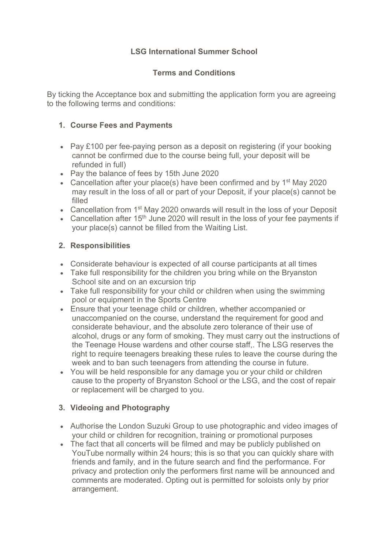## **LSG International Summer School**

### **Terms and Conditions**

By ticking the Acceptance box and submitting the application form you are agreeing to the following terms and conditions:

## **1. Course Fees and Payments**

- Pay £100 per fee-paying person as a deposit on registering (if your booking cannot be confirmed due to the course being full, your deposit will be refunded in full)
- Pay the balance of fees by 15th June 2020
- Cancellation after your place(s) have been confirmed and by  $1<sup>st</sup>$  May 2020 may result in the loss of all or part of your Deposit, if your place(s) cannot be filled
- Cancellation from 1<sup>st</sup> May 2020 onwards will result in the loss of your Deposit
- Cancellation after  $15<sup>th</sup>$  June 2020 will result in the loss of your fee payments if your place(s) cannot be filled from the Waiting List.

#### **2. Responsibilities**

- Considerate behaviour is expected of all course participants at all times
- Take full responsibility for the children you bring while on the Bryanston School site and on an excursion trip
- Take full responsibility for your child or children when using the swimming pool or equipment in the Sports Centre
- Ensure that your teenage child or children, whether accompanied or unaccompanied on the course, understand the requirement for good and considerate behaviour, and the absolute zero tolerance of their use of alcohol, drugs or any form of smoking. They must carry out the instructions of the Teenage House wardens and other course staff,. The LSG reserves the right to require teenagers breaking these rules to leave the course during the week and to ban such teenagers from attending the course in future.
- You will be held responsible for any damage you or your child or children cause to the property of Bryanston School or the LSG, and the cost of repair or replacement will be charged to you.

# **3. Videoing and Photography**

- Authorise the London Suzuki Group to use photographic and video images of your child or children for recognition, training or promotional purposes
- The fact that all concerts will be filmed and may be publicly published on YouTube normally within 24 hours; this is so that you can quickly share with friends and family, and in the future search and find the performance. For privacy and protection only the performers first name will be announced and comments are moderated. Opting out is permitted for soloists only by prior arrangement.